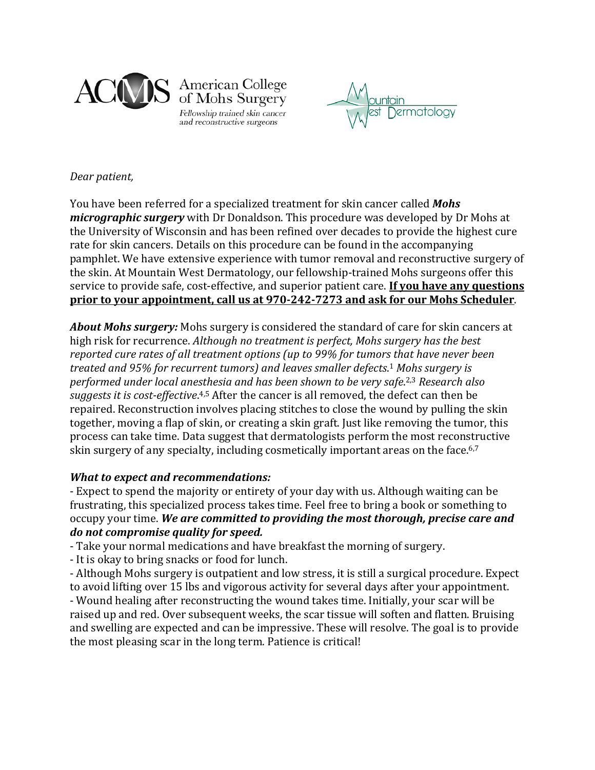

American College of Mohs Surgery Fellowship trained skin cancer and reconstructive surgeons



## *Dear patient,*

You have been referred for a specialized treatment for skin cancer called *Mohs micrographic surgery* with Dr Donaldson. This procedure was developed by Dr Mohs at the University of Wisconsin and has been refined over decades to provide the highest cure rate for skin cancers. Details on this procedure can be found in the accompanying pamphlet. We have extensive experience with tumor removal and reconstructive surgery of the skin. At Mountain West Dermatology, our fellowship-trained Mohs surgeons offer this service to provide safe, cost-effective, and superior patient care. **If you have any questions prior to your appointment, call us at 970-242-7273 and ask for our Mohs Scheduler**.

*About Mohs surgery:* Mohs surgery is considered the standard of care for skin cancers at high risk for recurrence. *Although no treatment is perfect, Mohs surgery has the best reported cure rates of all treatment options (up to 99% for tumors that have never been treated and 95% for recurrent tumors) and leaves smaller defects*. <sup>1</sup> *Mohs surgery is performed under local anesthesia and has been shown to be very safe*. 2,3 *Research also suggests it is cost-effective*. 4,5 After the cancer is all removed, the defect can then be repaired. Reconstruction involves placing stitches to close the wound by pulling the skin together, moving a flap of skin, or creating a skin graft. Just like removing the tumor, this process can take time. Data suggest that dermatologists perform the most reconstructive skin surgery of any specialty, including cosmetically important areas on the face.<sup>6,7</sup>

# *What to expect and recommendations:*

- Expect to spend the majority or entirety of your day with us. Although waiting can be frustrating, this specialized process takes time. Feel free to bring a book or something to occupy your time. *We are committed to providing the most thorough, precise care and do not compromise quality for speed.*

- Take your normal medications and have breakfast the morning of surgery.

- It is okay to bring snacks or food for lunch.

- Although Mohs surgery is outpatient and low stress, it is still a surgical procedure. Expect to avoid lifting over 15 lbs and vigorous activity for several days after your appointment. - Wound healing after reconstructing the wound takes time. Initially, your scar will be raised up and red. Over subsequent weeks, the scar tissue will soften and flatten. Bruising and swelling are expected and can be impressive. These will resolve. The goal is to provide the most pleasing scar in the long term. Patience is critical!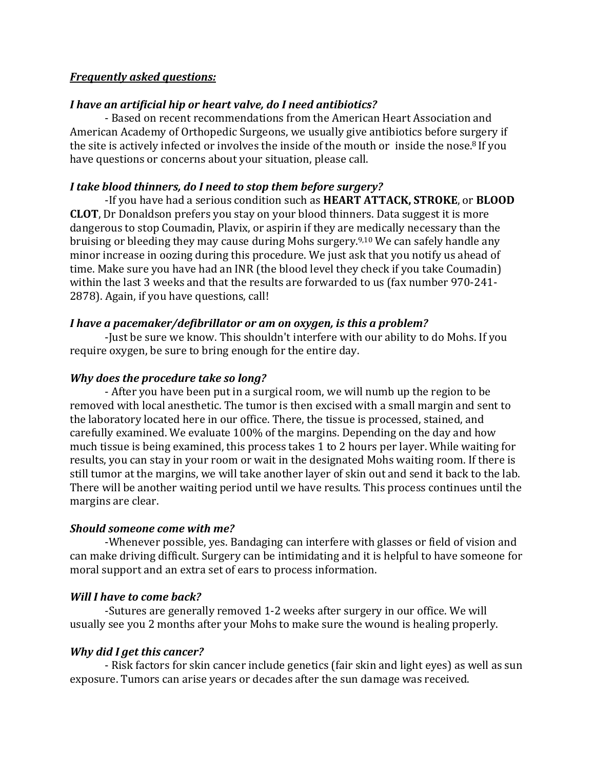## *Frequently asked questions:*

# *I have an artificial hip or heart valve, do I need antibiotics?*

- Based on recent recommendations from the American Heart Association and American Academy of Orthopedic Surgeons, we usually give antibiotics before surgery if the site is actively infected or involves the inside of the mouth or inside the nose.8 If you have questions or concerns about your situation, please call.

# *I take blood thinners, do I need to stop them before surgery?*

-If you have had a serious condition such as **HEART ATTACK, STROKE**, or **BLOOD CLOT**, Dr Donaldson prefers you stay on your blood thinners. Data suggest it is more dangerous to stop Coumadin, Plavix, or aspirin if they are medically necessary than the bruising or bleeding they may cause during Mohs surgery.9,10 We can safely handle any minor increase in oozing during this procedure. We just ask that you notify us ahead of time. Make sure you have had an INR (the blood level they check if you take Coumadin) within the last 3 weeks and that the results are forwarded to us (fax number 970-241- 2878). Again, if you have questions, call!

## *I have a pacemaker/defibrillator or am on oxygen, is this a problem?*

-Just be sure we know. This shouldn't interfere with our ability to do Mohs. If you require oxygen, be sure to bring enough for the entire day.

# *Why does the procedure take so long?*

- After you have been put in a surgical room, we will numb up the region to be removed with local anesthetic. The tumor is then excised with a small margin and sent to the laboratory located here in our office. There, the tissue is processed, stained, and carefully examined. We evaluate 100% of the margins. Depending on the day and how much tissue is being examined, this process takes 1 to 2 hours per layer. While waiting for results, you can stay in your room or wait in the designated Mohs waiting room. If there is still tumor at the margins, we will take another layer of skin out and send it back to the lab. There will be another waiting period until we have results. This process continues until the margins are clear.

## *Should someone come with me?*

-Whenever possible, yes. Bandaging can interfere with glasses or field of vision and can make driving difficult. Surgery can be intimidating and it is helpful to have someone for moral support and an extra set of ears to process information.

# *Will I have to come back?*

-Sutures are generally removed 1-2 weeks after surgery in our office. We will usually see you 2 months after your Mohs to make sure the wound is healing properly.

# *Why did I get this cancer?*

- Risk factors for skin cancer include genetics (fair skin and light eyes) as well as sun exposure. Tumors can arise years or decades after the sun damage was received.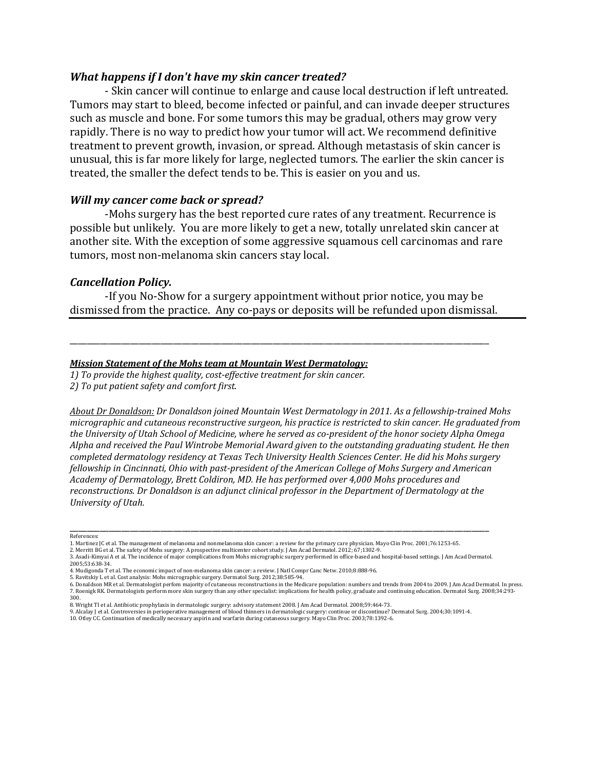### *What happens if I don't have my skin cancer treated?*

- Skin cancer will continue to enlarge and cause local destruction if left untreated. Tumors may start to bleed, become infected or painful, and can invade deeper structures such as muscle and bone. For some tumors this may be gradual, others may grow very rapidly. There is no way to predict how your tumor will act. We recommend definitive treatment to prevent growth, invasion, or spread. Although metastasis of skin cancer is unusual, this is far more likely for large, neglected tumors. The earlier the skin cancer is treated, the smaller the defect tends to be. This is easier on you and us.

### *Will my cancer come back or spread?*

-Mohs surgery has the best reported cure rates of any treatment. Recurrence is possible but unlikely. You are more likely to get a new, totally unrelated skin cancer at another site. With the exception of some aggressive squamous cell carcinomas and rare tumors, most non-melanoma skin cancers stay local.

#### *Cancellation Policy.*

-If you No-Show for a surgery appointment without prior notice, you may be dismissed from the practice. Any co-pays or deposits will be refunded upon dismissal.

\_\_\_\_\_\_\_\_\_\_\_\_\_\_\_\_\_\_\_\_\_\_\_\_\_\_\_\_\_\_\_\_\_\_\_\_\_\_\_\_\_\_\_\_\_\_\_\_\_\_\_\_\_\_\_\_\_\_\_\_\_\_\_\_\_\_\_\_\_\_\_\_\_\_\_\_\_\_\_\_\_\_\_\_\_\_\_\_\_\_\_\_\_\_\_\_\_

#### *Mission Statement of the Mohs team at Mountain West Dermatology:*

*1) To provide the highest quality, cost-effective treatment for skin cancer.*

*2) To put patient safety and comfort first*.

*About Dr Donaldson: Dr Donaldson joined Mountain West Dermatology in 2011. As a fellowship-trained Mohs micrographic and cutaneous reconstructive surgeon, his practice is restricted to skin cancer. He graduated from the University of Utah School of Medicine, where he served as co-president of the honor society Alpha Omega Alpha and received the Paul Wintrobe Memorial Award given to the outstanding graduating student. He then completed dermatology residency at Texas Tech University Health Sciences Center. He did his Mohs surgery fellowship in Cincinnati, Ohio with past-president of the American College of Mohs Surgery and American Academy of Dermatology, Brett Coldiron, MD. He has performed over 4,000 Mohs procedures and reconstructions. Dr Donaldson is an adjunct clinical professor in the Department of Dermatology at the University of Utah.*

#### \_\_\_\_\_\_\_\_\_\_\_\_\_\_\_\_\_\_\_\_\_\_\_\_\_\_\_\_\_\_\_\_\_\_\_\_\_\_\_\_\_\_\_\_\_\_\_\_\_\_\_\_\_\_\_\_\_\_\_\_\_\_\_\_\_\_\_\_\_\_\_\_\_\_\_\_\_\_\_\_\_\_\_\_\_\_\_\_\_\_\_\_\_\_\_\_\_ References:

2. Merritt BG et al. The safety of Mohs surgery: A prospective multicenter cohort study. J Am Acad Dermatol. 2012; 67;1302-9.

5. Ravitskiy L et al. Cost analysis: Mohs micrographic surgery. Dermatol Surg. 2012;38:585-94.

9. Alcalay J et al. Controversies in perioperative management of blood thinners in dermatologic surgery: continue or discontinue? Dermatol Surg. 2004;30:1091-4.<br>10. Otley CC. Continuation of medically necessary aspirin and

<sup>1.</sup> Martinez JC et al. The management of melanoma and nonmelanoma skin cancer: a review for the primary care physician. Mayo Clin Proc. 2001;76:1253-65.

<sup>3.</sup> Asadi-Kimyai A et al. The incidence of major complications from Mohs micrographic surgery performed in office-based and hospital-based settings. J Am Acad Dermatol. 2005;53:638-34. 4. Mudigonda T et al. The economic impact of non-melanoma skin cancer: a review. J Natl Compr Canc Netw. 2010;8:888-96.

<sup>6.</sup> Donaldson MK et al. Dermatologist perfom majority of cutaneous reconstructions in the Medicare population: numbers and trends from 2004 to 2009. J Am Acad Dermatol. In press.<br>7. Roenigk RK. Dermatologists perform more s 300.

<sup>8.</sup> Wright TI et al. Antibiotic prophylaxis in dermatologic surgery: advisory statement 2008. J Am Acad Dermatol. 2008;59:464-73.